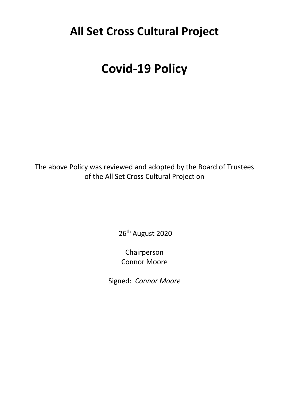## **All Set Cross Cultural Project**

# **Covid-19 Policy**

The above Policy was reviewed and adopted by the Board of Trustees of the All Set Cross Cultural Project on

26<sup>th</sup> August 2020

Chairperson Connor Moore

Signed: *Connor Moore*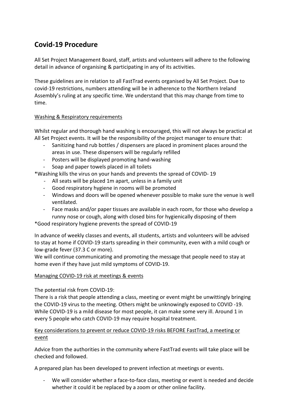### **Covid-19 Procedure**

All Set Project Management Board, staff, artists and volunteers will adhere to the following detail in advance of organising & participating in any of its activities.

These guidelines are in relation to all FastTrad events organised by All Set Project. Due to covid-19 restrictions, numbers attending will be in adherence to the Northern Ireland Assembly's ruling at any specific time. We understand that this may change from time to time.

#### Washing & Respiratory requirements

Whilst regular and thorough hand washing is encouraged, this will not always be practical at All Set Project events. It will be the responsibility of the project manager to ensure that:

- Sanitizing hand rub bottles / dispensers are placed in prominent places around the areas in use. These dispensers will be regularly refilled
- Posters will be displayed promoting hand-washing
- Soap and paper towels placed in all toilets

\*Washing kills the virus on your hands and prevents the spread of COVID- 19

- All seats will be placed 1m apart, unless in a family unit
- Good respiratory hygiene in rooms will be promoted
- Windows and doors will be opened whenever possible to make sure the venue is well ventilated.
- Face masks and/or paper tissues are available in each room, for those who develop a runny nose or cough, along with closed bins for hygienically disposing of them

\*Good respiratory hygiene prevents the spread of COVID-19

In advance of weekly classes and events, all students, artists and volunteers will be advised to stay at home if COVID-19 starts spreading in their community, even with a mild cough or low-grade fever (37.3 C or more).

We will continue communicating and promoting the message that people need to stay at home even if they have just mild symptoms of COVID-19.

#### Managing COVID-19 risk at meetings & events

#### The potential risk from COVID-19:

There is a risk that people attending a class, meeting or event might be unwittingly bringing the COVID-19 virus to the meeting. Others might be unknowingly exposed to COVID -19. While COVID-19 is a mild disease for most people, it can make some very ill. Around 1 in every 5 people who catch COVID-19 may require hospital treatment.

#### Key considerations to prevent or reduce COVID-19 risks BEFORE FastTrad, a meeting or event

Advice from the authorities in the community where FastTrad events will take place will be checked and followed.

A prepared plan has been developed to prevent infection at meetings or events.

We will consider whether a face-to-face class, meeting or event is needed and decide whether it could it be replaced by a zoom or other online facility.